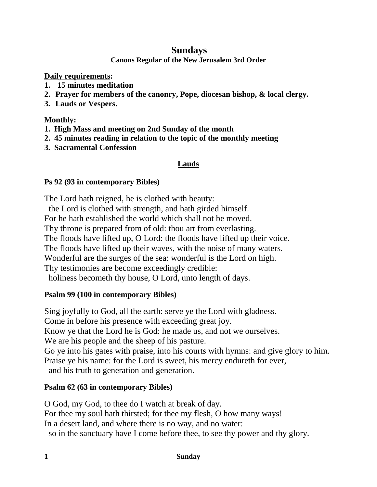# **Sundays**

**Canons Regular of the New Jerusalem 3rd Order**

**Daily requirements:** 

- **1. 15 minutes meditation**
- **2. Prayer for members of the canonry, Pope, diocesan bishop, & local clergy.**
- **3. Lauds or Vespers.**

### **Monthly:**

- **1. High Mass and meeting on 2nd Sunday of the month**
- **2. 45 minutes reading in relation to the topic of the monthly meeting**
- **3. Sacramental Confession**

# **Lauds**

### **Ps 92 (93 in contemporary Bibles)**

The Lord hath reigned, he is clothed with beauty:

the Lord is clothed with strength, and hath girded himself.

For he hath established the world which shall not be moved.

Thy throne is prepared from of old: thou art from everlasting.

The floods have lifted up, O Lord: the floods have lifted up their voice.

The floods have lifted up their waves, with the noise of many waters.

Wonderful are the surges of the sea: wonderful is the Lord on high.

Thy testimonies are become exceedingly credible:

holiness becometh thy house, O Lord, unto length of days.

# **Psalm 99 (100 in contemporary Bibles)**

Sing joyfully to God, all the earth: serve ye the Lord with gladness. Come in before his presence with exceeding great joy. Know ye that the Lord he is God: he made us, and not we ourselves. We are his people and the sheep of his pasture. Go ye into his gates with praise, into his courts with hymns: and give glory to him. Praise ye his name: for the Lord is sweet, his mercy endureth for ever, and his truth to generation and generation.

# **Psalm 62 (63 in contemporary Bibles)**

O God, my God, to thee do I watch at break of day. For thee my soul hath thirsted; for thee my flesh, O how many ways! In a desert land, and where there is no way, and no water: so in the sanctuary have I come before thee, to see thy power and thy glory.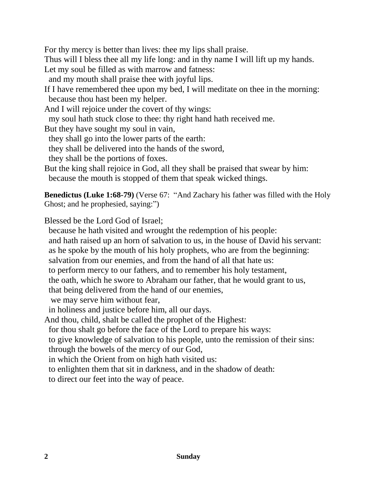For thy mercy is better than lives: thee my lips shall praise.

Thus will I bless thee all my life long: and in thy name I will lift up my hands. Let my soul be filled as with marrow and fatness:

and my mouth shall praise thee with joyful lips.

If I have remembered thee upon my bed, I will meditate on thee in the morning: because thou hast been my helper.

And I will rejoice under the covert of thy wings:

my soul hath stuck close to thee: thy right hand hath received me.

But they have sought my soul in vain,

they shall go into the lower parts of the earth:

they shall be delivered into the hands of the sword,

they shall be the portions of foxes.

But the king shall rejoice in God, all they shall be praised that swear by him: because the mouth is stopped of them that speak wicked things.

**Benedictus (Luke 1:68-79)** (Verse 67: "And Zachary his father was filled with the Holy Ghost; and he prophesied, saying:")

Blessed be the Lord God of Israel;

 because he hath visited and wrought the redemption of his people: and hath raised up an horn of salvation to us, in the house of David his servant: as he spoke by the mouth of his holy prophets, who are from the beginning: salvation from our enemies, and from the hand of all that hate us: to perform mercy to our fathers, and to remember his holy testament, the oath, which he swore to Abraham our father, that he would grant to us,

that being delivered from the hand of our enemies,

we may serve him without fear,

in holiness and justice before him, all our days.

And thou, child, shalt be called the prophet of the Highest:

for thou shalt go before the face of the Lord to prepare his ways:

 to give knowledge of salvation to his people, unto the remission of their sins: through the bowels of the mercy of our God,

in which the Orient from on high hath visited us:

to enlighten them that sit in darkness, and in the shadow of death:

to direct our feet into the way of peace.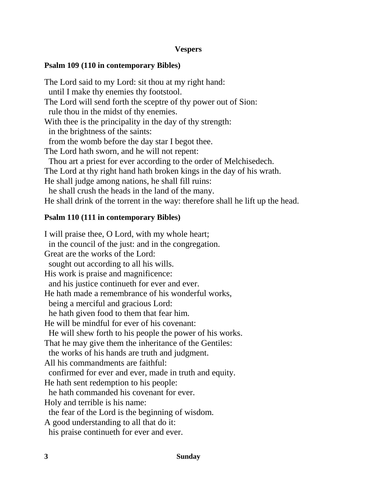### **Vespers**

### **Psalm 109 (110 in contemporary Bibles)**

The Lord said to my Lord: sit thou at my right hand: until I make thy enemies thy footstool. The Lord will send forth the sceptre of thy power out of Sion: rule thou in the midst of thy enemies. With thee is the principality in the day of thy strength: in the brightness of the saints: from the womb before the day star I begot thee. The Lord hath sworn, and he will not repent: Thou art a priest for ever according to the order of Melchisedech. The Lord at thy right hand hath broken kings in the day of his wrath. He shall judge among nations, he shall fill ruins: he shall crush the heads in the land of the many. He shall drink of the torrent in the way: therefore shall he lift up the head.

#### **Psalm 110 (111 in contemporary Bibles)**

I will praise thee, O Lord, with my whole heart; in the council of the just: and in the congregation. Great are the works of the Lord: sought out according to all his wills. His work is praise and magnificence: and his justice continueth for ever and ever. He hath made a remembrance of his wonderful works, being a merciful and gracious Lord: he hath given food to them that fear him. He will be mindful for ever of his covenant: He will shew forth to his people the power of his works. That he may give them the inheritance of the Gentiles: the works of his hands are truth and judgment. All his commandments are faithful: confirmed for ever and ever, made in truth and equity. He hath sent redemption to his people: he hath commanded his covenant for ever. Holy and terrible is his name: the fear of the Lord is the beginning of wisdom. A good understanding to all that do it: his praise continueth for ever and ever.